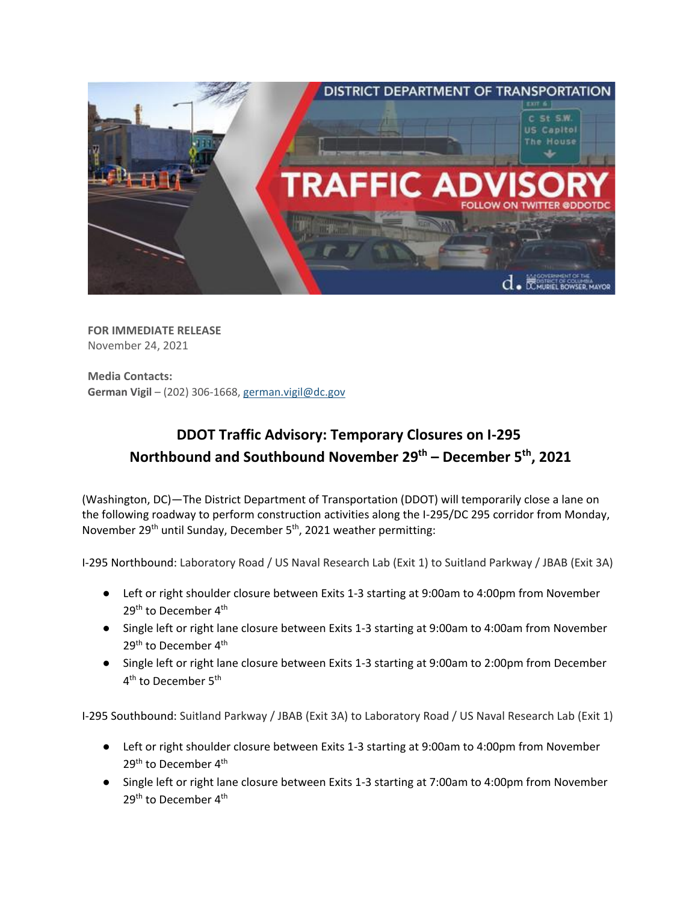

**FOR IMMEDIATE RELEASE** November 24, 2021

**Media Contacts: German Vigil** – (202) 306-1668[, german.vigil@dc.gov](mailto:german.vigil@dc.gov)

## **DDOT Traffic Advisory: Temporary Closures on I-295 Northbound and Southbound November 29 th – December 5th , 2021**

(Washington, DC)—The District Department of Transportation (DDOT) will temporarily close a lane on the following roadway to perform construction activities along the I-295/DC 295 corridor from Monday, November 29<sup>th</sup> until Sunday, December 5<sup>th</sup>, 2021 weather permitting:

I-295 Northbound: Laboratory Road / US Naval Research Lab (Exit 1) to Suitland Parkway / JBAB (Exit 3A)

- Left or right shoulder closure between Exits 1-3 starting at 9:00am to 4:00pm from November 29<sup>th</sup> to December 4<sup>th</sup>
- Single left or right lane closure between Exits 1-3 starting at 9:00am to 4:00am from November 29<sup>th</sup> to December 4<sup>th</sup>
- Single left or right lane closure between Exits 1-3 starting at 9:00am to 2:00pm from December 4<sup>th</sup> to December 5<sup>th</sup>

I-295 Southbound: Suitland Parkway / JBAB (Exit 3A) to Laboratory Road / US Naval Research Lab (Exit 1)

- Left or right shoulder closure between Exits 1-3 starting at 9:00am to 4:00pm from November 29<sup>th</sup> to December 4<sup>th</sup>
- Single left or right lane closure between Exits 1-3 starting at 7:00am to 4:00pm from November 29<sup>th</sup> to December 4<sup>th</sup>